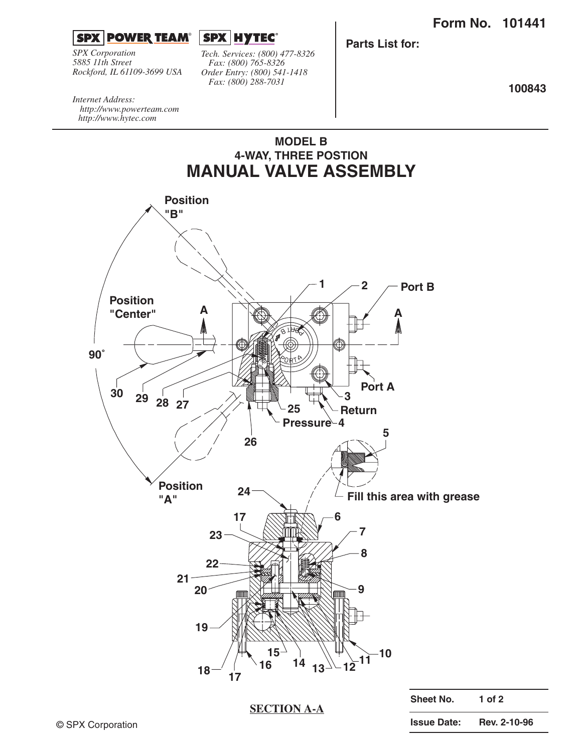

*SPX Corporation 5885 11th Street Rockford, IL 61109-3699 USA*



*Tech. Services: (800) 477-8326 Fax: (800) 765-8326 Order Entry: (800) 541-1418 Fax: (800) 288-7031*

**MODEL B**

**Parts List for:**

**100843**

*Internet Address: http://www.powerteam.com http://www.hytec.com*



**Issue Date: Rev. 2-10-96**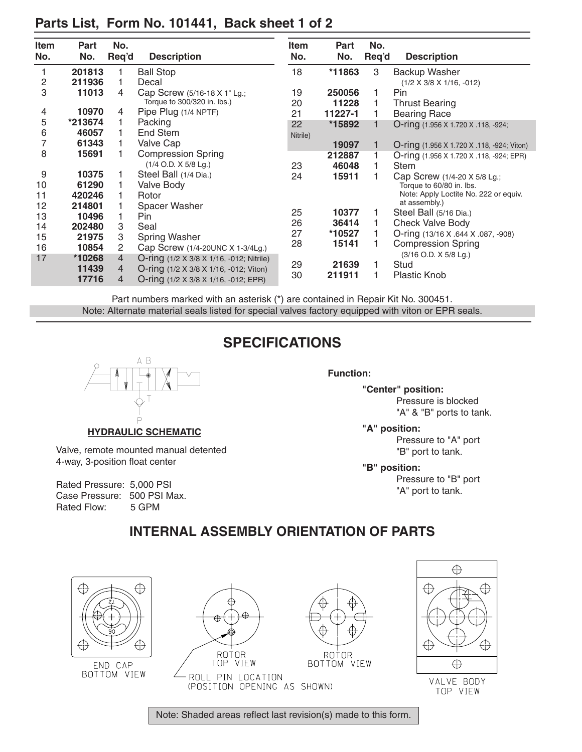| <b>Item</b>    | <b>Part</b> | No.            |                                                 | <b>Item</b> | <b>Part</b> | No.   |                                                   |
|----------------|-------------|----------------|-------------------------------------------------|-------------|-------------|-------|---------------------------------------------------|
| No.            | No.         | Req'd          | <b>Description</b>                              | No.         | No.         | Req'd | <b>Description</b>                                |
|                | 201813      |                | <b>Ball Stop</b>                                | 18          | *11863      | 3     | Backup Washer                                     |
| $\overline{2}$ | 211936      |                | Decal                                           |             |             |       | $(1/2 \times 3/8 \times 1/16, -012)$              |
| 3              | 11013       | 4              | Cap Screw (5/16-18 X 1" Lg.;                    | 19          | 250056      |       | Pin                                               |
|                |             |                | Torque to 300/320 in. lbs.)                     | 20          | 11228       |       | <b>Thrust Bearing</b>                             |
| 4              | 10970       | 4              | Pipe Plug (1/4 NPTF)                            | 21          | 11227-1     |       | <b>Bearing Race</b>                               |
| 5              | *213674     |                | Packing                                         | 22          | *15892      |       | O-ring (1.956 X 1.720 X .118, -924;               |
| 6              | 46057       |                | End Stem                                        | Nitrile)    |             |       |                                                   |
| 7              | 61343       |                | <b>Valve Cap</b>                                |             | 19097       |       | <b>O-ring</b> (1.956 X 1.720 X .118, -924; Viton) |
| 8              | 15691       |                | <b>Compression Spring</b>                       |             | 212887      |       | O-ring (1.956 X 1.720 X .118, -924; EPR)          |
|                |             |                | (1/4 O.D. X 5/8 Lg.)                            | 23          | 46048       |       | <b>Stem</b>                                       |
| 9              | 10375       |                | Steel Ball (1/4 Dia.)                           | 24          | 15911       |       | Cap Screw (1/4-20 X 5/8 Lg.;                      |
| 10             | 61290       |                | <b>Valve Body</b>                               |             |             |       | Torque to 60/80 in. lbs.                          |
| 11             | 420246      |                | Rotor                                           |             |             |       | Note: Apply Loctite No. 222 or equiv.             |
| 12             | 214801      |                | Spacer Washer                                   |             |             |       | at assembly.)                                     |
| 13             | 10496       |                | Pin                                             | 25          | 10377       |       | Steel Ball (5/16 Dia.)                            |
| 14             | 202480      | 3              | Seal                                            | 26          | 36414       |       | Check Valve Body                                  |
| 15             | 21975       | 3              | <b>Spring Washer</b>                            | 27          | *10527      |       | O-ring (13/16 X .644 X .087, -908)                |
| 16             | 10854       | 2              | Cap Screw (1/4-20UNC X 1-3/4Lg.)                | 28          | 15141       |       | <b>Compression Spring</b>                         |
| 17             | *10268      | $\overline{4}$ | <b>O-ring</b> (1/2 X 3/8 X 1/16, -012; Nitrile) |             |             |       | (3/16 O.D. X 5/8 Lg.)                             |
|                | 11439       | 4              | O-ring (1/2 X 3/8 X 1/16, -012; Viton)          | 29          | 21639       |       | Stud                                              |
|                | 17716       | 4              | O-ring (1/2 X 3/8 X 1/16, -012; EPR)            | 30          | 211911      |       | <b>Plastic Knob</b>                               |

## **Parts List, Form No. 101441, Back sheet 1 of 2**

Part numbers marked with an asterisk (\*) are contained in Repair Kit No. 300451. Note: Alternate material seals listed for special valves factory equipped with viton or EPR seals.

## **SPECIFICATIONS**



**HYDRAULIC SCHEMATIC**

Valve, remote mounted manual detented 4-way, 3-position float center

Rated Pressure: 5,000 PSI Case Pressure: 500 PSI Max.<br>Rated Flow: 5 GPM Rated Flow:

**Function:**

**"Center" position:** Pressure is blocked "A" & "B" ports to tank.

**"A" position:**

Pressure to "A" port "B" port to tank.

**"B" position:**

Pressure to "B" port "A" port to tank.

## **INTERNAL ASSEMBLY ORIENTATION OF PARTS**



END CAP BOTTOM VIEW







TOP VIEW

Note: Shaded areas reflect last revision(s) made to this form.